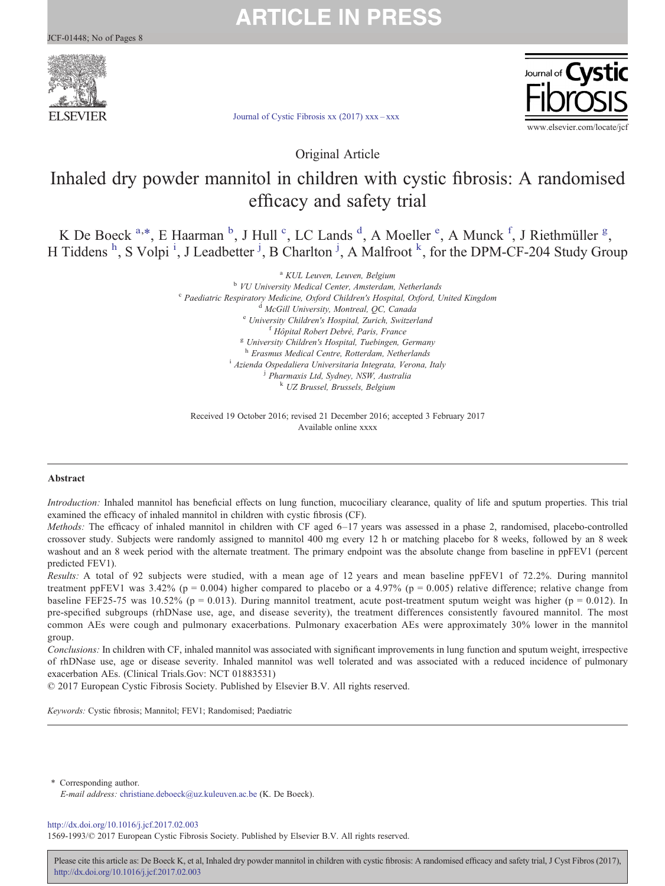# SEVIER

**ARTICLE IN PRESS** 



[Journal of Cystic Fibrosis xx \(2017\) xxx](http://dx.doi.org/10.1016/j.jcf.2017.02.003)–xxx

Original Article

## Inhaled dry powder mannitol in children with cystic fibrosis: A randomised efficacy and safety trial

K De Boeck  $a^*$ , E Haarman  $b^*$ , J Hull  $c^*$ , LC Lands  $d^*$ , A Moeller  $e^*$ , A Munck  $f^*$ , J Riethmüller  $g^*$ , H Tiddens <sup>h</sup>, S Volpi<sup>i</sup>, J Leadbetter <sup>j</sup>, B Charlton <sup>j</sup>, A Malfroot <sup>k</sup>, for the DPM-CF-204 Study Group

> a KUL Leuven, Leuven, Belgium b VU University Medical Center, Amsterdam, Netherlands <sup>c</sup> Paediatric Respiratory Medicine, Oxford Children's Hospital, Oxford, United Kingdom<br>d McGill University, Montreal, QC, Canada<br><sup>e</sup> University Children's Hospital, Zurich, Switzerland<br>f Hôpital Robert Debré, Paris, Fran  $B$  University Children's Hospital, Tuebingen, Germany  $B$  Erasmus Medical Centre, Rotterdam, Netherlands <sup>i</sup> Azienda Ospedaliera Universitaria Integrata, Verona, Italy <sup>j</sup> Pharmaxis Ltd, Sydney, NSW, Australia <sup>k</sup> UZ Brussel, Brussels, Belgium

Received 19 October 2016; revised 21 December 2016; accepted 3 February 2017 Available online xxxx

#### Abstract

Introduction: Inhaled mannitol has beneficial effects on lung function, mucociliary clearance, quality of life and sputum properties. This trial examined the efficacy of inhaled mannitol in children with cystic fibrosis (CF).

Methods: The efficacy of inhaled mannitol in children with CF aged 6–17 years was assessed in a phase 2, randomised, placebo-controlled crossover study. Subjects were randomly assigned to mannitol 400 mg every 12 h or matching placebo for 8 weeks, followed by an 8 week washout and an 8 week period with the alternate treatment. The primary endpoint was the absolute change from baseline in ppFEV1 (percent predicted FEV1).

Results: A total of 92 subjects were studied, with a mean age of 12 years and mean baseline ppFEV1 of 72.2%. During mannitol treatment ppFEV1 was 3.42% (p = 0.004) higher compared to placebo or a 4.97% (p = 0.005) relative difference; relative change from baseline FEF25-75 was 10.52% ( $p = 0.013$ ). During mannitol treatment, acute post-treatment sputum weight was higher ( $p = 0.012$ ). In pre-specified subgroups (rhDNase use, age, and disease severity), the treatment differences consistently favoured mannitol. The most common AEs were cough and pulmonary exacerbations. Pulmonary exacerbation AEs were approximately 30% lower in the mannitol group.

Conclusions: In children with CF, inhaled mannitol was associated with significant improvements in lung function and sputum weight, irrespective of rhDNase use, age or disease severity. Inhaled mannitol was well tolerated and was associated with a reduced incidence of pulmonary exacerbation AEs. (Clinical Trials.Gov: NCT 01883531)

© 2017 European Cystic Fibrosis Society. Published by Elsevier B.V. All rights reserved.

Keywords: Cystic fibrosis; Mannitol; FEV1; Randomised; Paediatric

⁎ Corresponding author. E-mail address: [christiane.deboeck@uz.kuleuven.ac.be](mailto:christiane.deboeck@uz.kuleuven.ac.be) (K. De Boeck).

#### <http://dx.doi.org/10.1016/j.jcf.2017.02.003>

1569-1993/© 2017 European Cystic Fibrosis Society. Published by Elsevier B.V. All rights reserved.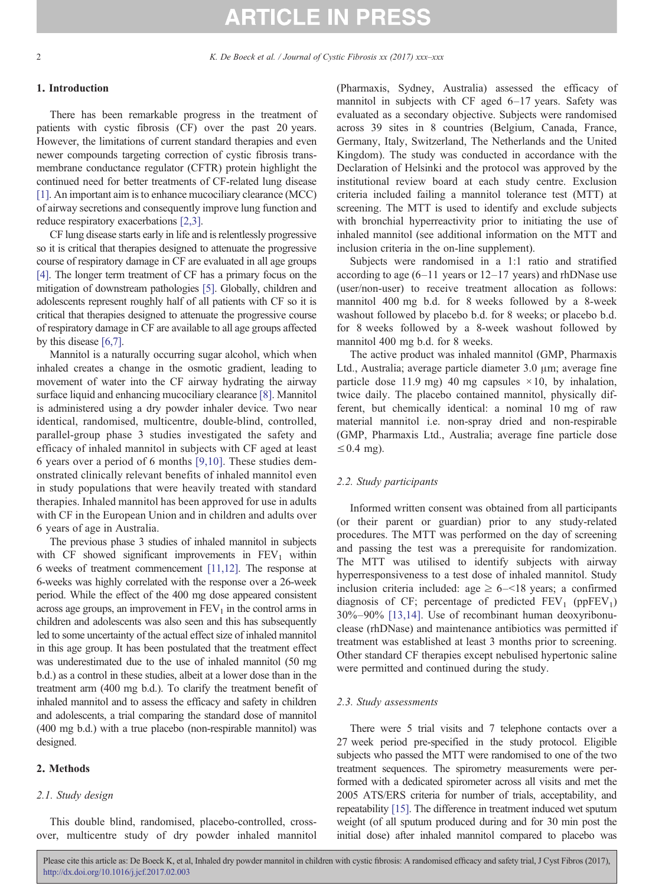#### 1. Introduction

There has been remarkable progress in the treatment of patients with cystic fibrosis (CF) over the past 20 years. However, the limitations of current standard therapies and even newer compounds targeting correction of cystic fibrosis transmembrane conductance regulator (CFTR) protein highlight the continued need for better treatments of CF-related lung disease [\[1\].](#page-7-0) An important aim is to enhance mucociliary clearance (MCC) of airway secretions and consequently improve lung function and reduce respiratory exacerbations [\[2,3\].](#page-7-0)

CF lung disease starts early in life and is relentlessly progressive so it is critical that therapies designed to attenuate the progressive course of respiratory damage in CF are evaluated in all age groups [\[4\].](#page-7-0) The longer term treatment of CF has a primary focus on the mitigation of downstream pathologies [\[5\]](#page-7-0). Globally, children and adolescents represent roughly half of all patients with CF so it is critical that therapies designed to attenuate the progressive course of respiratory damage in CF are available to all age groups affected by this disease [\[6,7\].](#page-7-0)

Mannitol is a naturally occurring sugar alcohol, which when inhaled creates a change in the osmotic gradient, leading to movement of water into the CF airway hydrating the airway surface liquid and enhancing mucociliary clearance [\[8\].](#page-7-0) Mannitol is administered using a dry powder inhaler device. Two near identical, randomised, multicentre, double-blind, controlled, parallel-group phase 3 studies investigated the safety and efficacy of inhaled mannitol in subjects with CF aged at least 6 years over a period of 6 months [\[9,10\].](#page-7-0) These studies demonstrated clinically relevant benefits of inhaled mannitol even in study populations that were heavily treated with standard therapies. Inhaled mannitol has been approved for use in adults with CF in the European Union and in children and adults over 6 years of age in Australia.

The previous phase 3 studies of inhaled mannitol in subjects with CF showed significant improvements in  $FEV<sub>1</sub>$  within 6 weeks of treatment commencement [\[11,12\]](#page-7-0). The response at 6-weeks was highly correlated with the response over a 26-week period. While the effect of the 400 mg dose appeared consistent across age groups, an improvement in  $FEV<sub>1</sub>$  in the control arms in children and adolescents was also seen and this has subsequently led to some uncertainty of the actual effect size of inhaled mannitol in this age group. It has been postulated that the treatment effect was underestimated due to the use of inhaled mannitol (50 mg b.d.) as a control in these studies, albeit at a lower dose than in the treatment arm (400 mg b.d.). To clarify the treatment benefit of inhaled mannitol and to assess the efficacy and safety in children and adolescents, a trial comparing the standard dose of mannitol (400 mg b.d.) with a true placebo (non-respirable mannitol) was designed.

#### 2. Methods

#### 2.1. Study design

This double blind, randomised, placebo-controlled, crossover, multicentre study of dry powder inhaled mannitol (Pharmaxis, Sydney, Australia) assessed the efficacy of mannitol in subjects with CF aged 6–17 years. Safety was evaluated as a secondary objective. Subjects were randomised across 39 sites in 8 countries (Belgium, Canada, France, Germany, Italy, Switzerland, The Netherlands and the United Kingdom). The study was conducted in accordance with the Declaration of Helsinki and the protocol was approved by the institutional review board at each study centre. Exclusion criteria included failing a mannitol tolerance test (MTT) at screening. The MTT is used to identify and exclude subjects with bronchial hyperreactivity prior to initiating the use of inhaled mannitol (see additional information on the MTT and inclusion criteria in the on-line supplement).

Subjects were randomised in a 1:1 ratio and stratified according to age  $(6-11)$  years or  $12-17$  years) and rhDNase use (user/non-user) to receive treatment allocation as follows: mannitol 400 mg b.d. for 8 weeks followed by a 8-week washout followed by placebo b.d. for 8 weeks; or placebo b.d. for 8 weeks followed by a 8-week washout followed by mannitol 400 mg b.d. for 8 weeks.

The active product was inhaled mannitol (GMP, Pharmaxis Ltd., Australia; average particle diameter 3.0 μm; average fine particle dose 11.9 mg) 40 mg capsules  $\times$  10, by inhalation, twice daily. The placebo contained mannitol, physically different, but chemically identical: a nominal 10 mg of raw material mannitol i.e. non-spray dried and non-respirable (GMP, Pharmaxis Ltd., Australia; average fine particle dose  $\leq$  0.4 mg).

### 2.2. Study participants

Informed written consent was obtained from all participants (or their parent or guardian) prior to any study-related procedures. The MTT was performed on the day of screening and passing the test was a prerequisite for randomization. The MTT was utilised to identify subjects with airway hyperresponsiveness to a test dose of inhaled mannitol. Study inclusion criteria included: age  $\geq 6 - 18$  years; a confirmed diagnosis of CF; percentage of predicted  $FEV_1$  (ppFEV<sub>1</sub>) 30%–90% [\[13,14\].](#page-7-0) Use of recombinant human deoxyribonuclease (rhDNase) and maintenance antibiotics was permitted if treatment was established at least 3 months prior to screening. Other standard CF therapies except nebulised hypertonic saline were permitted and continued during the study.

#### 2.3. Study assessments

There were 5 trial visits and 7 telephone contacts over a 27 week period pre-specified in the study protocol. Eligible subjects who passed the MTT were randomised to one of the two treatment sequences. The spirometry measurements were performed with a dedicated spirometer across all visits and met the 2005 ATS/ERS criteria for number of trials, acceptability, and repeatability [\[15\]](#page-7-0). The difference in treatment induced wet sputum weight (of all sputum produced during and for 30 min post the initial dose) after inhaled mannitol compared to placebo was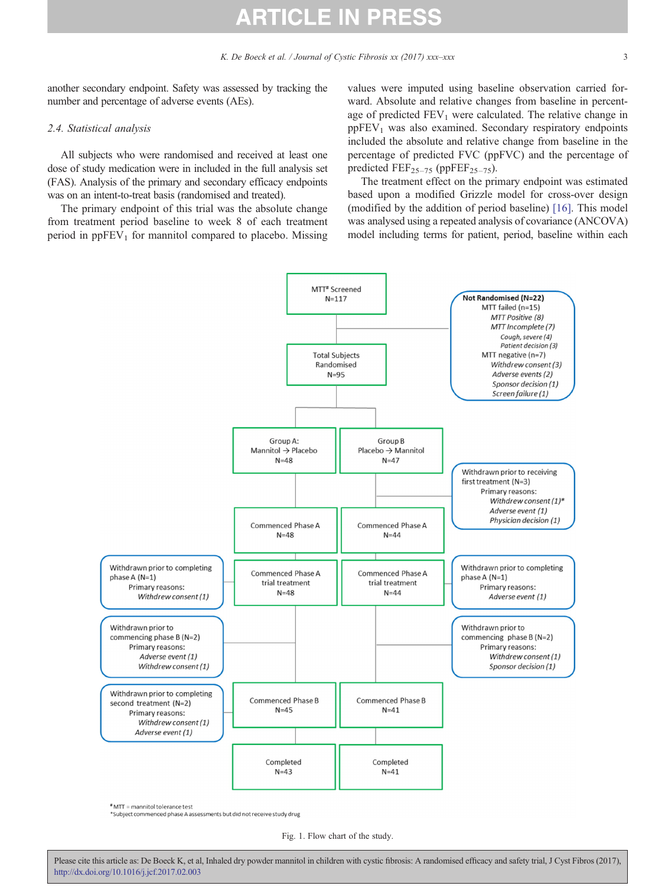<span id="page-2-0"></span>another secondary endpoint. Safety was assessed by tracking the number and percentage of adverse events (AEs).

#### 2.4. Statistical analysis

All subjects who were randomised and received at least one dose of study medication were in included in the full analysis set (FAS). Analysis of the primary and secondary efficacy endpoints was on an intent-to-treat basis (randomised and treated).

The primary endpoint of this trial was the absolute change from treatment period baseline to week 8 of each treatment period in  $ppFEV<sub>1</sub>$  for mannitol compared to placebo. Missing values were imputed using baseline observation carried forward. Absolute and relative changes from baseline in percentage of predicted  $FEV_1$  were calculated. The relative change in  $ppFEV<sub>1</sub>$  was also examined. Secondary respiratory endpoints included the absolute and relative change from baseline in the percentage of predicted FVC (ppFVC) and the percentage of predicted  $\text{FEF}_{25-75}$  (ppFEF<sub>25-75</sub>).

The treatment effect on the primary endpoint was estimated based upon a modified Grizzle model for cross-over design (modified by the addition of period baseline) [\[16\].](#page-7-0) This model was analysed using a repeated analysis of covariance (ANCOVA) model including terms for patient, period, baseline within each



# MTT = mannitol tolerance test

\*Subject commenced phase A assessments but did not receive study drug

Fig. 1. Flow chart of the study.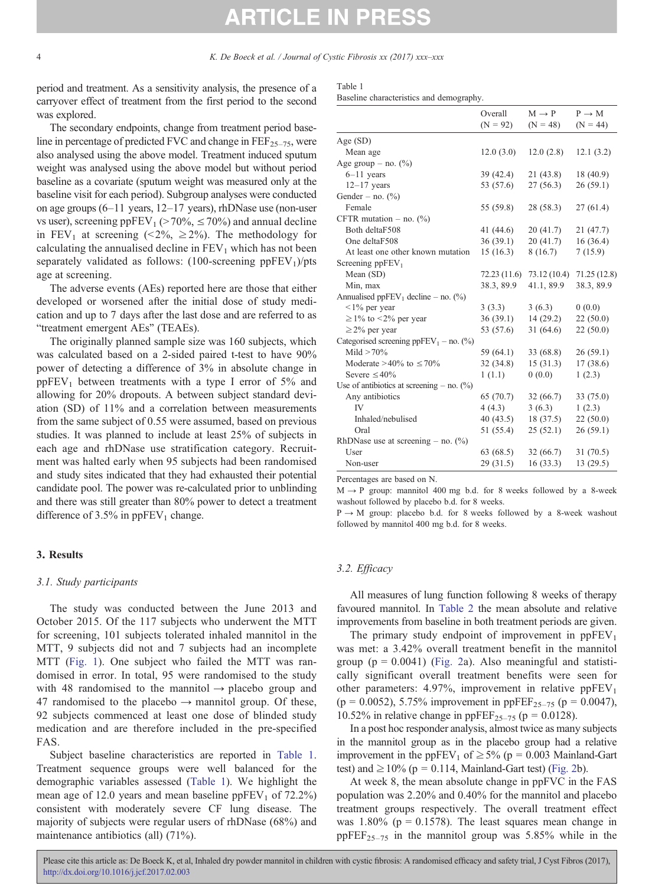period and treatment. As a sensitivity analysis, the presence of a carryover effect of treatment from the first period to the second was explored.

The secondary endpoints, change from treatment period baseline in percentage of predicted FVC and change in  $\text{FEF}_{25-75}$ , were also analysed using the above model. Treatment induced sputum weight was analysed using the above model but without period baseline as a covariate (sputum weight was measured only at the baseline visit for each period). Subgroup analyses were conducted on age groups (6–11 years, 12–17 years), rhDNase use (non-user vs user), screening ppFEV<sub>1</sub> ( $>70\%$ ,  $\leq 70\%$ ) and annual decline in FEV<sub>1</sub> at screening (<2%, ≥2%). The methodology for calculating the annualised decline in  $FEV<sub>1</sub>$  which has not been separately validated as follows:  $(100\text{-screening ppFEV}_1)/pts$ age at screening.

The adverse events (AEs) reported here are those that either developed or worsened after the initial dose of study medication and up to 7 days after the last dose and are referred to as "treatment emergent AEs" (TEAEs).

The originally planned sample size was 160 subjects, which was calculated based on a 2-sided paired t-test to have 90% power of detecting a difference of 3% in absolute change in  $ppFEV<sub>1</sub>$  between treatments with a type I error of 5% and allowing for 20% dropouts. A between subject standard deviation (SD) of 11% and a correlation between measurements from the same subject of 0.55 were assumed, based on previous studies. It was planned to include at least 25% of subjects in each age and rhDNase use stratification category. Recruitment was halted early when 95 subjects had been randomised and study sites indicated that they had exhausted their potential candidate pool. The power was re-calculated prior to unblinding and there was still greater than 80% power to detect a treatment difference of 3.5% in  $ppFEV_1$  change.

#### 3. Results

#### 3.1. Study participants

The study was conducted between the June 2013 and October 2015. Of the 117 subjects who underwent the MTT for screening, 101 subjects tolerated inhaled mannitol in the MTT, 9 subjects did not and 7 subjects had an incomplete MTT ([Fig. 1](#page-2-0)). One subject who failed the MTT was randomised in error. In total, 95 were randomised to the study with 48 randomised to the mannitol  $\rightarrow$  placebo group and 47 randomised to the placebo  $\rightarrow$  mannitol group. Of these, 92 subjects commenced at least one dose of blinded study medication and are therefore included in the pre-specified FAS.

Subject baseline characteristics are reported in Table 1. Treatment sequence groups were well balanced for the demographic variables assessed (Table 1). We highlight the mean age of 12.0 years and mean baseline  $ppFEV<sub>1</sub>$  of 72.2%) consistent with moderately severe CF lung disease. The majority of subjects were regular users of rhDNase (68%) and maintenance antibiotics (all) (71%).

| Table 1 |  |                                          |
|---------|--|------------------------------------------|
|         |  | Baseline characteristics and demography. |

|                                                          | Overall<br>$(N = 92)$ | $M \rightarrow P$<br>$(N = 48)$ | $P \rightarrow M$<br>$(N = 44)$ |
|----------------------------------------------------------|-----------------------|---------------------------------|---------------------------------|
| Age $(SD)$                                               |                       |                                 |                                 |
| Mean age                                                 | 12.0(3.0)             | 12.0(2.8)                       | 12.1(3.2)                       |
| Age group $-$ no. $(\%)$                                 |                       |                                 |                                 |
| $6-11$ years                                             | 39 (42.4)             | 21(43.8)                        | 18 (40.9)                       |
| $12-17$ years                                            | 53 (57.6)             | 27(56.3)                        | 26(59.1)                        |
| Gender – no. $(\%)$                                      |                       |                                 |                                 |
| Female                                                   | 55 (59.8)             | 28 (58.3)                       | 27(61.4)                        |
| CFTR mutation $-$ no. $(\%)$                             |                       |                                 |                                 |
| Both deltaF508                                           | 41 (44.6)             | 20(41.7)                        | 21 (47.7)                       |
| One deltaF508                                            | 36(39.1)              | 20(41.7)                        | 16(36.4)                        |
| At least one other known mutation                        | 15(16.3)              | 8(16.7)                         | 7(15.9)                         |
| Screening $ppFEV1$                                       |                       |                                 |                                 |
| Mean (SD)                                                | 72.23 (11.6)          | 73.12(10.4)                     | 71.25(12.8)                     |
| Min, max                                                 | 38.3, 89.9            | 41.1, 89.9                      | 38.3, 89.9                      |
| Annualised ppFEV <sub>1</sub> decline - no. $(^{0}_{0})$ |                       |                                 |                                 |
| $1\%$ per year                                           | 3(3.3)                | 3(6.3)                          | 0(0.0)                          |
| $\geq$ 1% to <2% per year                                | 36(39.1)              | 14(29.2)                        | 22(50.0)                        |
| $\geq$ 2% per year                                       | 53 (57.6)             | 31(64.6)                        | 22(50.0)                        |
| Categorised screening $ppFEV_1 - no.$ (%)                |                       |                                 |                                 |
| Mild $>70\%$                                             | 59 (64.1)             | 33 (68.8)                       | 26(59.1)                        |
| Moderate >40% to $\leq 70\%$                             | 32(34.8)              | 15(31.3)                        | 17(38.6)                        |
| Severe $\leq 40\%$                                       | 1(1.1)                | 0(0.0)                          | 1(2.3)                          |
| Use of antibiotics at screening $-$ no. $(\%)$           |                       |                                 |                                 |
| Any antibiotics                                          | 65 (70.7)             | 32(66.7)                        | 33 (75.0)                       |
| <b>IV</b>                                                | 4(4.3)                | 3(6.3)                          | 1(2.3)                          |
| Inhaled/nebulised                                        | 40(43.5)              | 18(37.5)                        | 22(50.0)                        |
| Oral                                                     | 51 (55.4)             | 25(52.1)                        | 26(59.1)                        |
| RhDNase use at screening – no. $(\%)$                    |                       |                                 |                                 |
| User                                                     | 63 (68.5)             | 32 (66.7)                       | 31(70.5)                        |
| Non-user                                                 | 29(31.5)              | 16(33.3)                        | 13 (29.5)                       |

Percentages are based on N.

 $M \rightarrow P$  group: mannitol 400 mg b.d. for 8 weeks followed by a 8-week washout followed by placebo b.d. for 8 weeks.

P → M group: placebo b.d. for 8 weeks followed by a 8-week washout followed by mannitol 400 mg b.d. for 8 weeks.

#### 3.2. Efficacy

All measures of lung function following 8 weeks of therapy favoured mannitol. In [Table 2](#page-4-0) the mean absolute and relative improvements from baseline in both treatment periods are given.

The primary study endpoint of improvement in  $ppFEV<sub>1</sub>$ was met: a 3.42% overall treatment benefit in the mannitol group ( $p = 0.0041$ ) ([Fig. 2](#page-5-0)a). Also meaningful and statistically significant overall treatment benefits were seen for other parameters: 4.97%, improvement in relative  $ppFEV<sub>1</sub>$  $(p = 0.0052)$ , 5.75% improvement in ppFEF<sub>25-75</sub> (p = 0.0047), 10.52% in relative change in  $ppFEF_{25-75}$  ( $p = 0.0128$ ).

In a post hoc responder analysis, almost twice as many subjects in the mannitol group as in the placebo group had a relative improvement in the ppFEV<sub>1</sub> of  $\geq$  5% (p = 0.003 Mainland-Gart test) and  $\geq 10\%$  (p = 0.114, Mainland-Gart test) [\(Fig. 2b](#page-5-0)).

At week 8, the mean absolute change in ppFVC in the FAS population was 2.20% and 0.40% for the mannitol and placebo treatment groups respectively. The overall treatment effect was  $1.80\%$  (p = 0.1578). The least squares mean change in ppFEF<sub>25–75</sub> in the mannitol group was 5.85% while in the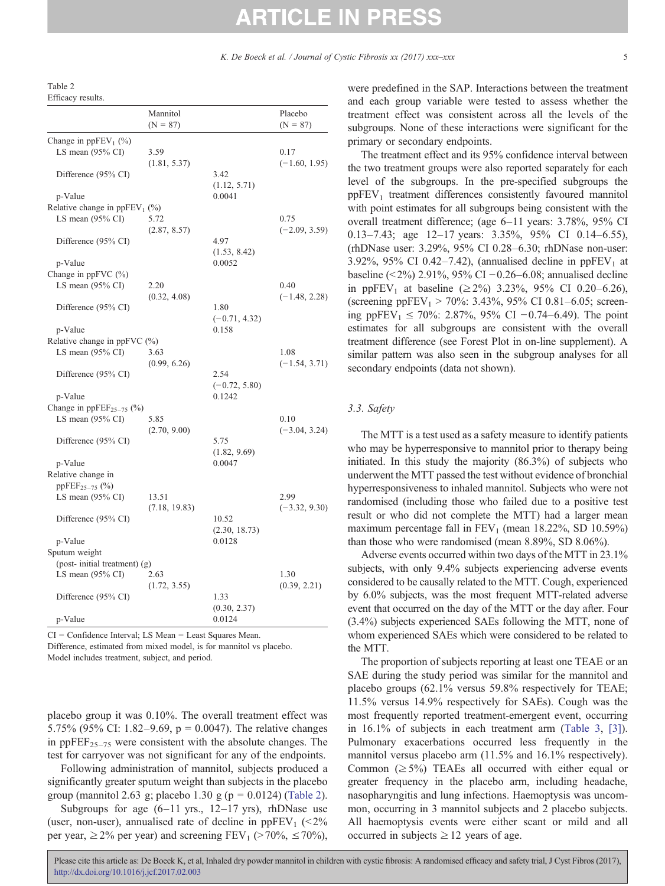<span id="page-4-0"></span>Table 2 Efficacy results.

|                                                             | Mannitol<br>$(N = 87)$ |                        | Placebo<br>$(N = 87)$ |
|-------------------------------------------------------------|------------------------|------------------------|-----------------------|
| Change in ppFEV <sub>1</sub> (%)                            |                        |                        |                       |
| LS mean $(95\% \text{ CI})$                                 | 3.59                   |                        | 0.17                  |
|                                                             | (1.81, 5.37)           |                        | $(-1.60, 1.95)$       |
| Difference (95% CI)                                         |                        | 3.42                   |                       |
|                                                             |                        | (1.12, 5.71)           |                       |
| p-Value                                                     |                        | 0.0041                 |                       |
| Relative change in $ppFEV_1$ (%)                            |                        |                        |                       |
| LS mean $(95\% \text{ CI})$                                 | 5.72                   |                        | 0.75                  |
|                                                             | (2.87, 8.57)           |                        | $(-2.09, 3.59)$       |
| Difference (95% CI)                                         |                        | 4.97                   |                       |
|                                                             |                        | (1.53, 8.42)           |                       |
| p-Value                                                     |                        | 0.0052                 |                       |
| Change in $ppFVC$ (%)                                       |                        |                        |                       |
| LS mean $(95\% \text{ CI})$                                 | 2.20                   |                        | 0.40                  |
|                                                             | (0.32, 4.08)           |                        | $(-1.48, 2.28)$       |
| Difference (95% CI)                                         |                        | 1.80                   |                       |
|                                                             |                        | $(-0.71, 4.32)$        |                       |
| p-Value                                                     |                        | 0.158                  |                       |
| Relative change in $ppFVC$ (%)                              |                        |                        |                       |
| LS mean $(95\% \text{ CI})$                                 | 3.63                   |                        | 1.08                  |
|                                                             | (0.99, 6.26)           |                        | $(-1.54, 3.71)$       |
| Difference (95% CI)                                         |                        | 2.54                   |                       |
|                                                             |                        | $(-0.72, 5.80)$        |                       |
| p-Value                                                     |                        | 0.1242                 |                       |
| Change in ppFEF <sub>25-75</sub> (%)                        |                        |                        |                       |
| LS mean $(95\% \text{ CI})$                                 | 5.85                   |                        | 0.10                  |
|                                                             | (2.70, 9.00)           |                        | $(-3.04, 3.24)$       |
| Difference (95% CI)                                         |                        | 5.75                   |                       |
|                                                             |                        | (1.82, 9.69)<br>0.0047 |                       |
| p-Value<br>Relative change in                               |                        |                        |                       |
|                                                             |                        |                        |                       |
| ppFEF <sub>25-75</sub> $(\%$<br>LS mean $(95\% \text{ CI})$ | 13.51                  |                        | 2.99                  |
|                                                             |                        |                        |                       |
| Difference (95% CI)                                         | (7.18, 19.83)          | 10.52                  | $(-3.32, 9.30)$       |
|                                                             |                        | (2.30, 18.73)          |                       |
| p-Value                                                     |                        | 0.0128                 |                       |
| Sputum weight                                               |                        |                        |                       |
| $(post-initial treatment)$ $(g)$                            |                        |                        |                       |
| LS mean $(95\% \text{ CI})$                                 | 2.63                   |                        | 1.30                  |
|                                                             | (1.72, 3.55)           |                        | (0.39, 2.21)          |
| Difference (95% CI)                                         |                        | 1.33                   |                       |
|                                                             |                        | (0.30, 2.37)           |                       |
| p-Value                                                     |                        | 0.0124                 |                       |

CI = Confidence Interval; LS Mean = Least Squares Mean. Difference, estimated from mixed model, is for mannitol vs placebo. Model includes treatment, subject, and period.

placebo group it was 0.10%. The overall treatment effect was 5.75% (95% CI: 1.82–9.69,  $p = 0.0047$ ). The relative changes in  $ppFEF_{25-75}$  were consistent with the absolute changes. The test for carryover was not significant for any of the endpoints.

Following administration of mannitol, subjects produced a significantly greater sputum weight than subjects in the placebo group (mannitol 2.63 g; placebo 1.30 g ( $p = 0.0124$ ) (Table 2).

Subgroups for age  $(6-11 \text{ yrs}, 12-17 \text{ yrs})$ , rhDNase use (user, non-user), annualised rate of decline in  $ppFEV_1$  (<2%) per year,  $\geq$  2% per year) and screening FEV<sub>1</sub> ( $>$  70%,  $\leq$  70%), were predefined in the SAP. Interactions between the treatment and each group variable were tested to assess whether the treatment effect was consistent across all the levels of the subgroups. None of these interactions were significant for the primary or secondary endpoints.

The treatment effect and its 95% confidence interval between the two treatment groups were also reported separately for each level of the subgroups. In the pre-specified subgroups the  $ppFEV<sub>1</sub>$  treatment differences consistently favoured mannitol with point estimates for all subgroups being consistent with the overall treatment difference; (age 6–11 years: 3.78%, 95% CI 0.13–7.43; age 12–17 years: 3.35%, 95% CI 0.14–6.55), (rhDNase user: 3.29%, 95% CI 0.28–6.30; rhDNase non-user: 3.92%, 95% CI 0.42–7.42), (annualised decline in  $ppFEV<sub>1</sub>$  at baseline (<2%) 2.91%, 95% CI −0.26–6.08; annualised decline in ppFEV<sub>1</sub> at baseline ( $\geq$ 2%) 3.23%, 95% CI 0.20–6.26), (screening ppFEV<sub>1</sub> > 70%: 3.43%, 95% CI 0.81–6.05; screening ppFEV<sub>1</sub> ≤ 70%: 2.87%, 95% CI −0.74–6.49). The point estimates for all subgroups are consistent with the overall treatment difference (see Forest Plot in on-line supplement). A similar pattern was also seen in the subgroup analyses for all secondary endpoints (data not shown).

#### 3.3. Safety

The MTT is a test used as a safety measure to identify patients who may be hyperresponsive to mannitol prior to therapy being initiated. In this study the majority (86.3%) of subjects who underwent the MTT passed the test without evidence of bronchial hyperresponsiveness to inhaled mannitol. Subjects who were not randomised (including those who failed due to a positive test result or who did not complete the MTT) had a larger mean maximum percentage fall in  $FEV<sub>1</sub>$  (mean 18.22%, SD 10.59%) than those who were randomised (mean 8.89%, SD 8.06%).

Adverse events occurred within two days of the MTT in 23.1% subjects, with only 9.4% subjects experiencing adverse events considered to be causally related to the MTT. Cough, experienced by 6.0% subjects, was the most frequent MTT-related adverse event that occurred on the day of the MTT or the day after. Four (3.4%) subjects experienced SAEs following the MTT, none of whom experienced SAEs which were considered to be related to the MTT.

The proportion of subjects reporting at least one TEAE or an SAE during the study period was similar for the mannitol and placebo groups (62.1% versus 59.8% respectively for TEAE; 11.5% versus 14.9% respectively for SAEs). Cough was the most frequently reported treatment-emergent event, occurring in 16.1% of subjects in each treatment arm ([Table 3](#page-6-0), [\[3\]\)](#page-7-0). Pulmonary exacerbations occurred less frequently in the mannitol versus placebo arm (11.5% and 16.1% respectively). Common  $(\geq 5\%)$  TEAEs all occurred with either equal or greater frequency in the placebo arm, including headache, nasopharyngitis and lung infections. Haemoptysis was uncommon, occurring in 3 mannitol subjects and 2 placebo subjects. All haemoptysis events were either scant or mild and all occurred in subjects  $\geq$  12 years of age.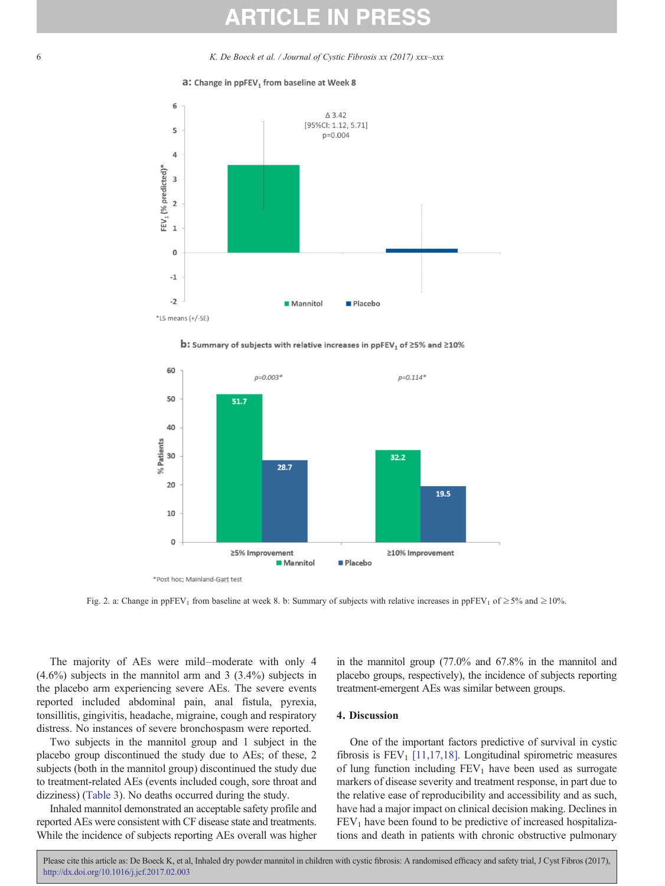<span id="page-5-0"></span>6 K. De Boeck et al. / Journal of Cystic Fibrosis  $xx$  (2017)  $xxx-xx$ 









Fig. 2. a: Change in ppFEV<sub>1</sub> from baseline at week 8. b: Summary of subjects with relative increases in ppFEV<sub>1</sub> of  $\geq$  5% and  $\geq$  10%.

The majority of AEs were mild–moderate with only 4 (4.6%) subjects in the mannitol arm and 3 (3.4%) subjects in the placebo arm experiencing severe AEs. The severe events reported included abdominal pain, anal fistula, pyrexia, tonsillitis, gingivitis, headache, migraine, cough and respiratory distress. No instances of severe bronchospasm were reported.

Two subjects in the mannitol group and 1 subject in the placebo group discontinued the study due to AEs; of these, 2 subjects (both in the mannitol group) discontinued the study due to treatment-related AEs (events included cough, sore throat and dizziness) [\(Table 3\)](#page-6-0). No deaths occurred during the study.

Inhaled mannitol demonstrated an acceptable safety profile and reported AEs were consistent with CF disease state and treatments. While the incidence of subjects reporting AEs overall was higher

in the mannitol group (77.0% and 67.8% in the mannitol and placebo groups, respectively), the incidence of subjects reporting treatment-emergent AEs was similar between groups.

#### 4. Discussion

One of the important factors predictive of survival in cystic fibrosis is  $FEV<sub>1</sub>$  [\[11,17,18\].](#page-7-0) Longitudinal spirometric measures of lung function including  $FEV<sub>1</sub>$  have been used as surrogate markers of disease severity and treatment response, in part due to the relative ease of reproducibility and accessibility and as such, have had a major impact on clinical decision making. Declines in  $FEV<sub>1</sub>$  have been found to be predictive of increased hospitalizations and death in patients with chronic obstructive pulmonary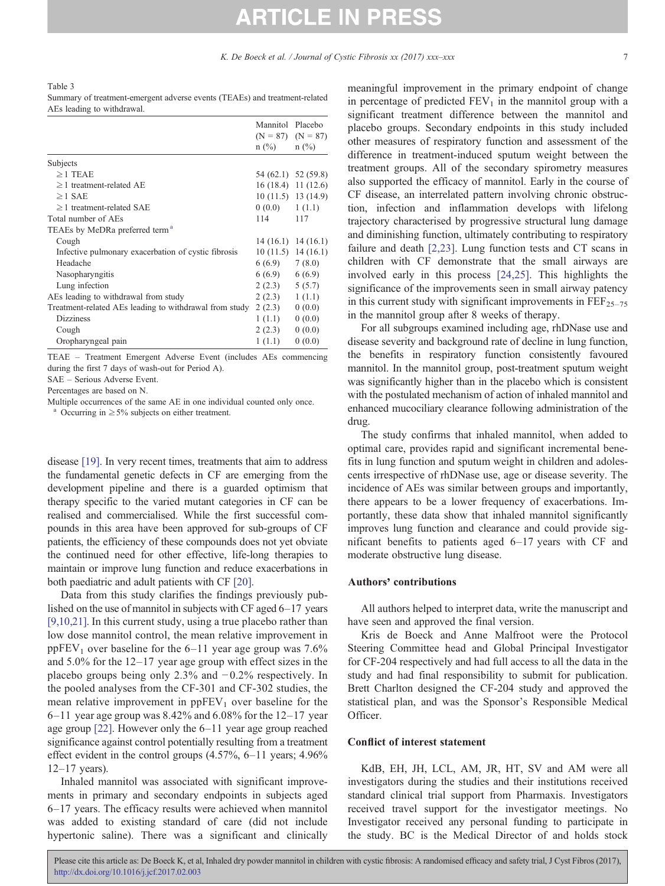<span id="page-6-0"></span>Table 3

Summary of treatment-emergent adverse events (TEAEs) and treatment-related AEs leading to withdrawal.

|                                                        | Mannitol Placebo<br>$(N = 87)$ $(N = 87)$<br>$n$ (%) | $n$ (%)              |
|--------------------------------------------------------|------------------------------------------------------|----------------------|
| Subjects                                               |                                                      |                      |
| $\geq$ 1 TEAE                                          |                                                      | 54 (62.1) 52 (59.8)  |
| $\geq$ 1 treatment-related AE                          |                                                      | $16(18.4)$ 11 (12.6) |
| $\geq$ 1 SAE                                           |                                                      | $10(11.5)$ 13 (14.9) |
| $>1$ treatment-related SAE                             | $0(0.0)$ $1(1.1)$                                    |                      |
| Total number of AEs                                    | 114                                                  | 117                  |
| TEAEs by MeDRa preferred term <sup>a</sup>             |                                                      |                      |
| Cough                                                  |                                                      | $14(16.1)$ 14 (16.1) |
| Infective pulmonary exacerbation of cystic fibrosis    |                                                      | $10(11.5)$ 14 (16.1) |
| Headache                                               | 6 (6.9)                                              | 7(8.0)               |
| Nasopharyngitis                                        | 6(6.9)                                               | 6(6.9)               |
| Lung infection                                         | 2(2.3)                                               | 5(5.7)               |
| AEs leading to withdrawal from study                   | 2(2.3)                                               | 1(1.1)               |
| Treatment-related AEs leading to withdrawal from study | 2(2.3)                                               | 0(0.0)               |
| <b>Dizziness</b>                                       | 1(1.1)                                               | 0(0.0)               |
| Cough                                                  | 2(2.3)                                               | 0(0.0)               |
| Oropharyngeal pain                                     | 1(1.1)                                               | 0(0.0)               |

TEAE – Treatment Emergent Adverse Event (includes AEs commencing during the first 7 days of wash-out for Period A).

SAE – Serious Adverse Event.

Percentages are based on N.

Multiple occurrences of the same AE in one individual counted only once.

Occurring in  $\geq$  5% subjects on either treatment.

disease [\[19\]](#page-7-0). In very recent times, treatments that aim to address the fundamental genetic defects in CF are emerging from the development pipeline and there is a guarded optimism that therapy specific to the varied mutant categories in CF can be realised and commercialised. While the first successful compounds in this area have been approved for sub-groups of CF patients, the efficiency of these compounds does not yet obviate the continued need for other effective, life-long therapies to maintain or improve lung function and reduce exacerbations in both paediatric and adult patients with CF [\[20\]](#page-7-0).

Data from this study clarifies the findings previously published on the use of mannitol in subjects with CF aged 6–17 years [\[9,10,21\].](#page-7-0) In this current study, using a true placebo rather than low dose mannitol control, the mean relative improvement in ppFEV<sub>1</sub> over baseline for the  $6-11$  year age group was 7.6% and 5.0% for the 12–17 year age group with effect sizes in the placebo groups being only 2.3% and  $-0.2$ % respectively. In the pooled analyses from the CF-301 and CF-302 studies, the mean relative improvement in  $ppFEV<sub>1</sub>$  over baseline for the  $6-11$  year age group was 8.42% and 6.08% for the 12–17 year age group [\[22\]](#page-7-0). However only the 6–11 year age group reached significance against control potentially resulting from a treatment effect evident in the control groups  $(4.57\%, 6-11 \text{ years}; 4.96\%$  $12-17$  years).

Inhaled mannitol was associated with significant improvements in primary and secondary endpoints in subjects aged 6–17 years. The efficacy results were achieved when mannitol was added to existing standard of care (did not include hypertonic saline). There was a significant and clinically meaningful improvement in the primary endpoint of change in percentage of predicted  $FEV<sub>1</sub>$  in the mannitol group with a significant treatment difference between the mannitol and placebo groups. Secondary endpoints in this study included other measures of respiratory function and assessment of the difference in treatment-induced sputum weight between the treatment groups. All of the secondary spirometry measures also supported the efficacy of mannitol. Early in the course of CF disease, an interrelated pattern involving chronic obstruction, infection and inflammation develops with lifelong trajectory characterised by progressive structural lung damage and diminishing function, ultimately contributing to respiratory failure and death [\[2,23\].](#page-7-0) Lung function tests and CT scans in children with CF demonstrate that the small airways are involved early in this process [\[24,25\]](#page-7-0). This highlights the significance of the improvements seen in small airway patency in this current study with significant improvements in  $\text{FEF}_{25-75}$ in the mannitol group after 8 weeks of therapy.

For all subgroups examined including age, rhDNase use and disease severity and background rate of decline in lung function, the benefits in respiratory function consistently favoured mannitol. In the mannitol group, post-treatment sputum weight was significantly higher than in the placebo which is consistent with the postulated mechanism of action of inhaled mannitol and enhanced mucociliary clearance following administration of the drug.

The study confirms that inhaled mannitol, when added to optimal care, provides rapid and significant incremental benefits in lung function and sputum weight in children and adolescents irrespective of rhDNase use, age or disease severity. The incidence of AEs was similar between groups and importantly, there appears to be a lower frequency of exacerbations. Importantly, these data show that inhaled mannitol significantly improves lung function and clearance and could provide significant benefits to patients aged 6–17 years with CF and moderate obstructive lung disease.

#### Authors' contributions

All authors helped to interpret data, write the manuscript and have seen and approved the final version.

Kris de Boeck and Anne Malfroot were the Protocol Steering Committee head and Global Principal Investigator for CF-204 respectively and had full access to all the data in the study and had final responsibility to submit for publication. Brett Charlton designed the CF-204 study and approved the statistical plan, and was the Sponsor's Responsible Medical Officer.

#### Conflict of interest statement

KdB, EH, JH, LCL, AM, JR, HT, SV and AM were all investigators during the studies and their institutions received standard clinical trial support from Pharmaxis. Investigators received travel support for the investigator meetings. No Investigator received any personal funding to participate in the study. BC is the Medical Director of and holds stock